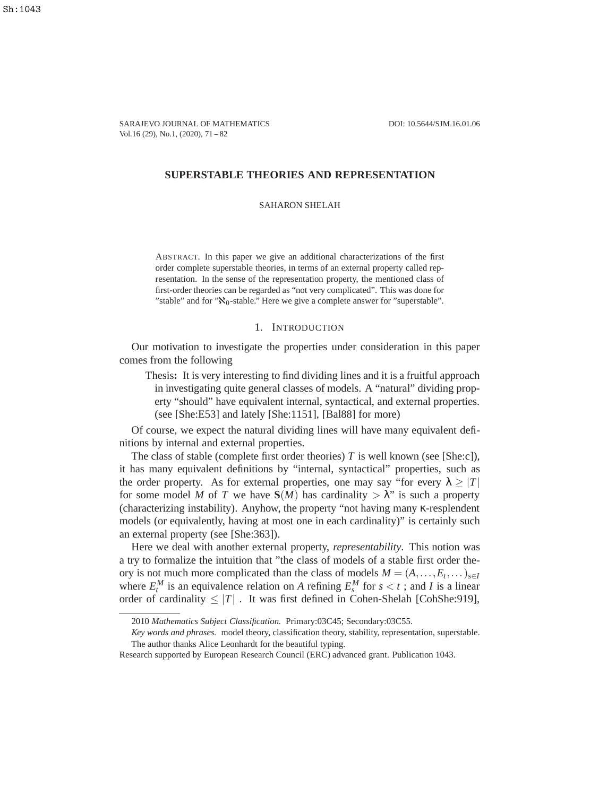SARAJEVO JOURNAL OF MATHEMATICS DOI: 10.5644/SJM.16.01.06 Vol.16 (29), No.1, (2020), 71 – 82

## **SUPERSTABLE THEORIES AND REPRESENTATION**

SAHARON SHELAH

ABSTRACT. In this paper we give an additional characterizations of the first order complete superstable theories, in terms of an external property called representation. In the sense of the representation property, the mentioned class of first-order theories can be regarded as "not very complicated". This was done for "stable" and for " $\aleph_0$ -stable." Here we give a complete answer for "superstable".

# 1. INTRODUCTION

Our motivation to investigate the properties under consideration in this paper comes from the following

Thesis**:** It is very interesting to find dividing lines and it is a fruitful approach in investigating quite general classes of models. A "natural" dividing property "should" have equivalent internal, syntactical, and external properties. (see [She:E53] and lately [She:1151], [Bal88] for more)

Of course, we expect the natural dividing lines will have many equivalent definitions by internal and external properties.

The class of stable (complete first order theories) *T* is well known (see [She:c]), it has many equivalent definitions by "internal, syntactical" properties, such as the order property. As for external properties, one may say "for every  $\lambda > |T|$ for some model *M* of *T* we have  $S(M)$  has cardinality  $>\lambda$ " is such a property (characterizing instability). Anyhow, the property "not having many κ-resplendent models (or equivalently, having at most one in each cardinality)" is certainly such an external property (see [She:363]).

Here we deal with another external property, *representability*. This notion was a try to formalize the intuition that "the class of models of a stable first order theory is not much more complicated than the class of models  $M = (A, \ldots, E_t, \ldots)_{s \in I}$ where  $E_t^M$  is an equivalence relation on *A* refining  $E_s^M$  for  $s < t$ ; and *I* is a linear order of cardinality  $\leq |T|$ . It was first defined in Cohen-Shelah [CohShe:919],

<sup>2010</sup> *Mathematics Subject Classification.* Primary:03C45; Secondary:03C55.

*Key words and phrases.* model theory, classification theory, stability, representation, superstable. The author thanks Alice Leonhardt for the beautiful typing.

Research supported by European Research Council (ERC) advanced grant. Publication 1043.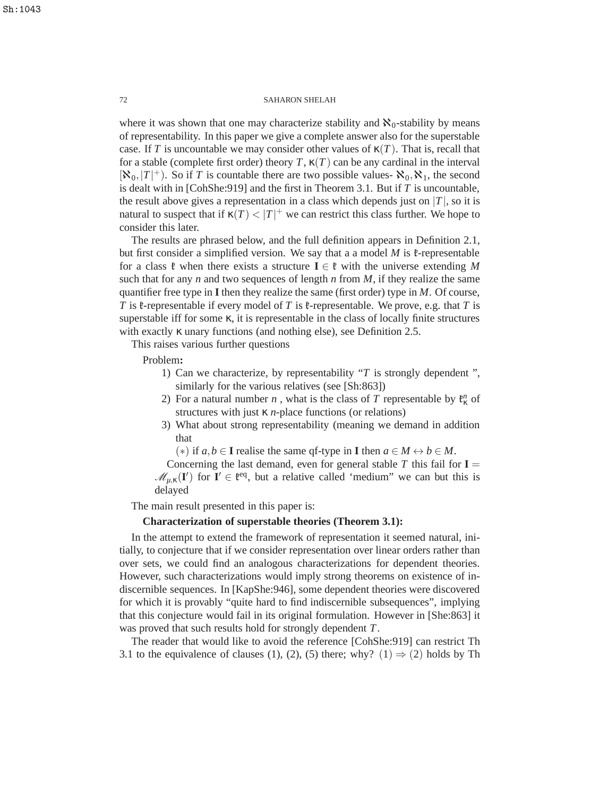where it was shown that one may characterize stability and  $\aleph_0$ -stability by means of representability. In this paper we give a complete answer also for the superstable case. If *T* is uncountable we may consider other values of  $\kappa(T)$ . That is, recall that for a stable (complete first order) theory *T*,  $\kappa(T)$  can be any cardinal in the interval  $[\mathbf{x}_0,|T|^+]$ . So if *T* is countable there are two possible values-  $\mathbf{x}_0, \mathbf{x}_1$ , the second is dealt with in [CohShe:919] and the first in Theorem 3.1. But if *T* is uncountable, the result above gives a representation in a class which depends just on  $|T|$ , so it is natural to suspect that if  $\kappa(T) < |T|$ <sup>+</sup> we can restrict this class further. We hope to consider this later.

The results are phrased below, and the full definition appears in Definition 2.1, but first consider a simplified version. We say that a a model  $M$  is  $\ell$ -representable for a class  $\mathfrak{k}$  when there exists a structure  $\mathbf{I} \in \mathfrak{k}$  with the universe extending M such that for any *n* and two sequences of length *n* from  $M$ , if they realize the same quantifier free type in **I** then they realize the same (first order) type in *M*. Of course, *T* is  $\ell$ -representable if every model of *T* is  $\ell$ -representable. We prove, e.g. that *T* is superstable iff for some  $\kappa$ , it is representable in the class of locally finite structures with exactly  $\kappa$  unary functions (and nothing else), see Definition 2.5.

This raises various further questions

Problem**:**

- 1) Can we characterize, by representability "*T* is strongly dependent ", similarly for the various relatives (see [Sh:863])
- 2) For a natural number *n*, what is the class of *T* representable by  $\mathfrak{k}_{\kappa}^n$  of structures with just κ *n*-place functions (or relations)
- 3) What about strong representability (meaning we demand in addition that

 $(*)$  if *a*, *b* ∈ **I** realise the same qf-type in **I** then  $a \in M \leftrightarrow b \in M$ .

Concerning the last demand, even for general stable  $T$  this fail for  $I =$  $\mathcal{M}_{\mu,\kappa}(\mathbf{I}')$  for  $\mathbf{I}' \in \mathfrak{k}^{eq}$ , but a relative called 'medium'' we can but this is delayed

The main result presented in this paper is:

# **Characterization of superstable theories (Theorem 3.1):**

In the attempt to extend the framework of representation it seemed natural, initially, to conjecture that if we consider representation over linear orders rather than over sets, we could find an analogous characterizations for dependent theories. However, such characterizations would imply strong theorems on existence of indiscernible sequences. In [KapShe:946], some dependent theories were discovered for which it is provably "quite hard to find indiscernible subsequences", implying that this conjecture would fail in its original formulation. However in [She:863] it was proved that such results hold for strongly dependent *T*.

The reader that would like to avoid the reference [CohShe:919] can restrict Th 3.1 to the equivalence of clauses (1), (2), (5) there; why? (1)  $\Rightarrow$  (2) holds by Th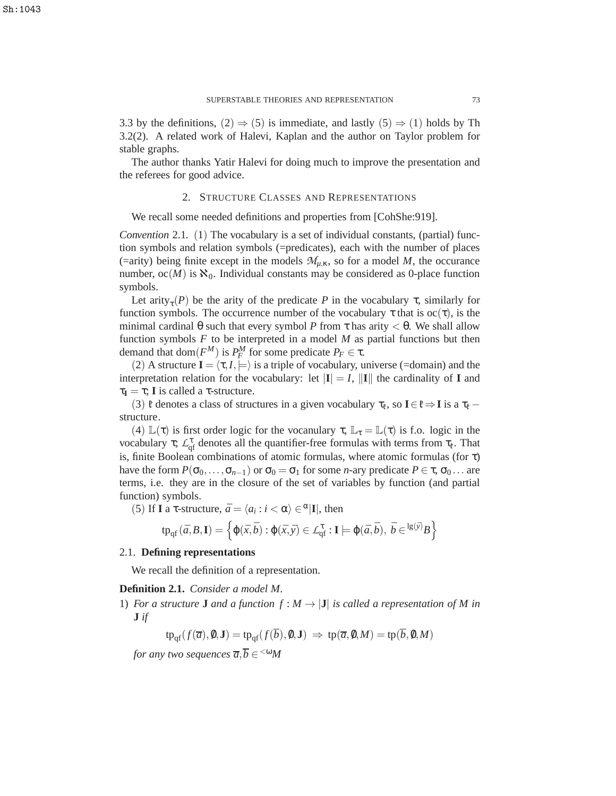3.3 by the definitions,  $(2) \Rightarrow (5)$  is immediate, and lastly  $(5) \Rightarrow (1)$  holds by Th 3.2(2). A related work of Halevi, Kaplan and the author on Taylor problem for stable graphs.

The author thanks Yatir Halevi for doing much to improve the presentation and the referees for good advice.

## 2. STRUCTURE CLASSES AND REPRESENTATIONS

We recall some needed definitions and properties from [CohShe:919].

*Convention* 2.1. (1) The vocabulary is a set of individual constants, (partial) function symbols and relation symbols (=predicates), each with the number of places (=arity) being finite except in the models  $\mathcal{M}_{\mu,K}$ , so for a model M, the occurance number,  $oc(M)$  is  $\aleph_0$ . Individual constants may be considered as 0-place function symbols.

Let arity<sub> $\tau$ </sub>(*P*) be the arity of the predicate *P* in the vocabulary  $\tau$ , similarly for function symbols. The occurrence number of the vocabulary  $\tau$  that is  $oc(\tau)$ , is the minimal cardinal  $\theta$  such that every symbol *P* from  $\tau$  has arity  $\lt \theta$ . We shall allow function symbols *F* to be interpreted in a model *M* as partial functions but then demand that dom $(F^M)$  is  $P^M_F$  for some predicate  $P_F \in \tau$ .

(2) A structure  $I = \langle \tau, I \rangle \models$  is a triple of vocabulary, universe (=domain) and the interpretation relation for the vocabulary: let  $|\mathbf{I}| = I$ ,  $||\mathbf{I}||$  the cardinality of **I** and  $\tau_{\mathbf{I}} = \tau$ ; **I** is called a  $\tau$ -structure.

(3)  $\mathfrak{k}$  denotes a class of structures in a given vocabulary  $\tau_{\mathfrak{k}}$ , so  $\mathbf{I} \in \mathfrak{k} \Rightarrow \mathbf{I}$  is a  $\tau_{\mathfrak{k}}$  – structure.

(4)  $\mathbb{L}(\tau)$  is first order logic for the vocanulary  $\tau$ ,  $\mathbb{L}_{\tau} = \mathbb{L}(\tau)$  is f.o. logic in the vocabulary  $\tau$ ;  $\mathcal{L}_{\text{qf}}^{\tau}$  denotes all the quantifier-free formulas with terms from  $\tau_{\ell}$ . That is, finite Boolean combinations of atomic formulas, where atomic formulas (for  $\tau$ ) have the form  $P(\sigma_0,\ldots,\sigma_{n-1})$  or  $\sigma_0 = \sigma_1$  for some *n*-ary predicate  $P \in \tau$ ,  $\sigma_0 \ldots$  are terms, i.e. they are in the closure of the set of variables by function (and partial function) symbols.

(5) If **I** a  $\tau$ -structure,  $\bar{a} = \langle a_i : i \langle \alpha \rangle \in \alpha | \mathbf{I} |$ , then

$$
\text{tp}_{\text{qf}}(\bar{a},B,\mathbf{I}) = \left\{ \varphi(\bar{x},\bar{b}) : \varphi(\bar{x},\bar{y}) \in \mathcal{L}_{\text{qf}}^{\tau} : \mathbf{I} \models \varphi(\bar{a},\bar{b}), \ \bar{b} \in \text{lg}(\bar{y})B \right\}
$$

# 2.1. **Defining representations**

We recall the definition of a representation.

## **Definition 2.1.** *Consider a model M.*

1) *For a structure* **J** *and a function*  $f : M \to |J|$  *is called a representation of* M *in* **J** *if*

$$
\text{tp}_{\text{qf}}(f(\overline{a}), 0, \mathbf{J}) = \text{tp}_{\text{qf}}(f(\overline{b}), 0, \mathbf{J}) \implies \text{tp}(\overline{a}, 0, M) = \text{tp}(\overline{b}, 0, M)
$$

*for any two sequences*  $\overline{a}, \overline{b} \in ^{< \omega} \hspace{-1mm} M$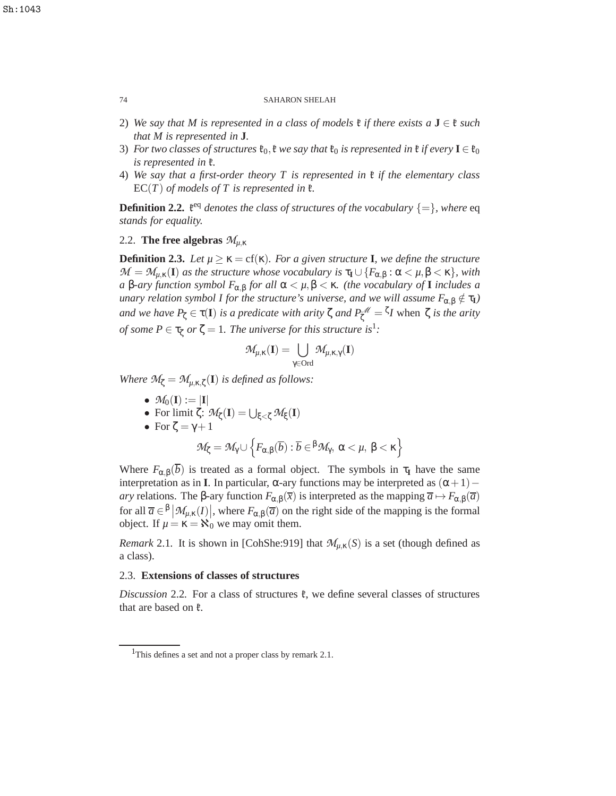- 2) We say that M is represented in a class of models  $\mathfrak{k}$  *if there exists* a  $J \in \mathfrak{k}$  *such that M is represented in* **J***.*
- 3) *For two classes of structures*  $\mathfrak{k}_0$ ,  $\mathfrak{k}$  *we say that*  $\mathfrak{k}_0$  *is represented in*  $\mathfrak{k}$  *if every*  $\mathbf{I} \in \mathfrak{k}_0$ *is represented in* k*.*
- 4) *We say that a first-order theory T is represented in* k *if the elementary class*  $EC(T)$  *of models of T is represented in*  $\ell$ *.*

**Definition 2.2.**  $\mathfrak{k}^{\text{eq}}$  *denotes the class of structures of the vocabulary*  $\{=\}$ *, where* eq *stands for equality.*

# 2.2. **The free algebras**  $\mathcal{M}_{\mu,\kappa}$

**Definition 2.3.** Let  $\mu \geq \kappa = \text{cf}(\kappa)$ . For a given structure **I**, we define the structure  $\mathcal{M} = \mathcal{M}_{\mu,\kappa}(\mathbf{I})$  *as the structure whose vocabulary is*  $\tau_{\mathbf{I}} \cup \{F_{\alpha,\beta} : \alpha < \mu, \beta < \kappa\}$ *, with a* β*-ary function symbol F*α,<sup>β</sup> *for all* α < *µ*,β < κ*. (the vocabulary of* **I** *includes a unary relation symbol I for the structure's universe, and we will assume*  $F_{\alpha,\beta} \notin \tau_I$ *) and we have*  $P_{\zeta} \in \tau(I)$  *is a predicate with arity*  $\zeta$  *and*  $P_{\zeta}^{\mathscr{M}} = \zeta_I$  when  $\zeta$  *is the arity of some*  $P \in \tau_{\zeta}$  *or*  $\zeta = 1$ *. The universe for this structure is*<sup>1</sup>*:* 

$$
\mathcal{M}_{\mu,\kappa}(\mathbf{I})=\bigcup_{\gamma\in\mathrm{Ord}}\mathcal{M}_{\mu,\kappa,\gamma}(\mathbf{I})
$$

*Where*  $\mathcal{M}_{\zeta} = \mathcal{M}_{\mu,\kappa,\zeta}(\mathbf{I})$  *is defined as follows:* 

- $M_0(I) := |I|$
- For limit  $\zeta$ :  $\mathcal{M}_{\zeta}(\mathbf{I}) = \bigcup_{\xi < \zeta} \mathcal{M}_{\xi}(\mathbf{I})$
- For  $\zeta = \gamma + 1$

$$
\mathcal{M}_{\zeta} = \mathcal{M}_{\gamma} \cup \left\{ F_{\alpha,\beta}(\overline{b}) : \overline{b} \in \beta \mathcal{M}_{\gamma}, \ \alpha < \mu, \ \beta < \kappa \right\}
$$

Where  $F_{\alpha,\beta}(\overline{b})$  is treated as a formal object. The symbols in  $\tau_I$  have the same interpretation as in **I**. In particular, α-ary functions may be interpreted as  $(α+1)$  – *ary* relations. The β-ary function  $F_{\alpha,\beta}(\bar{x})$  is interpreted as the mapping  $\bar{a}$  →  $F_{\alpha,\beta}(\bar{a})$ for all  $\overline{a} \in \beta \, | \, \mathcal{M}_{\mu,\kappa}(I) |$ , where  $F_{\alpha,\beta}(\overline{a})$  on the right side of the mapping is the formal object. If  $\mu = \kappa = \aleph_0$  we may omit them.

*Remark* 2.1. It is shown in [CohShe:919] that  $\mathcal{M}_{\mu,\kappa}(S)$  is a set (though defined as a class).

# 2.3. **Extensions of classes of structures**

*Discussion* 2.2. For a class of structures  $\mathfrak{k}$ , we define several classes of structures that are based on  $\mathfrak{k}$ .

Sh:1043

<sup>&</sup>lt;sup>1</sup>This defines a set and not a proper class by remark 2.1.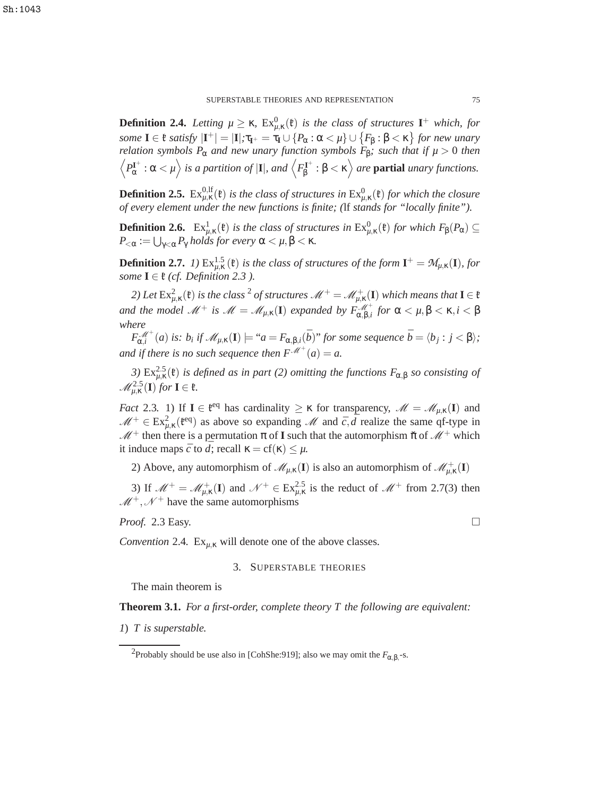**Definition 2.4.** Letting  $\mu \geq \kappa$ ,  $Ex_{\mu,\kappa}^0(\mathfrak{k})$  is the class of structures  $I^+$  which, for *some*  $I \in \mathfrak{k}$  *satisfy*  $|I^+| = |I|$ ;  $\tau_{I^+} = \tau_I \cup \{P_\alpha : \alpha < \mu\} \cup \{F_\beta : \beta < \kappa\}$  for new unary *relation symbols P*<sub>α</sub> *and new unary function symbols F*<sub>β</sub>*; such that if*  $\mu > 0$  *then*  $\left\langle P^{\mathbf{I}^+}_{\alpha}:\alpha<\mu\right\rangle$  is a partition of  $|\mathbf{I}|$ , and  $\left\langle F^{\mathbf{I}^+}_{\beta}\right\rangle$  $\beta_{\beta}^{\mathbf{I}^+}$ :  $\beta < \kappa$  *are* **partial** *unary functions.* 

**Definition 2.5.**  $\text{Ex}_{\mu,\kappa}^{0,\text{lf}}(\mathfrak{k})$  is the class of structures in  $\text{Ex}_{\mu,\kappa}^{0}(\mathfrak{k})$  for which the closure *of every element under the new functions is finite; (*lf *stands for "locally finite").*

**Definition 2.6.**  $\text{Ex}_{\mu,\kappa}^1(\mathfrak{k})$  *is the class of structures in*  $\text{Ex}_{\mu,\kappa}^0(\mathfrak{k})$  *for which*  $F_\beta(P_\alpha) \subseteq$  $P_{<\alpha} := \bigcup_{\gamma<\alpha} P_\gamma$  holds for every  $\alpha<\mu, \beta<\kappa.$ 

**Definition 2.7.** *1*)  $\text{Ex}_{\mu,\kappa}^{1.5}(\mathfrak{k})$  *is the class of structures of the form*  $\mathbf{I}^+ = \mathcal{M}_{\mu,\kappa}(\mathbf{I})$ *, for some*  $I \in \mathfrak{k}$  *(cf. Definition 2.3).* 

2) Let  $\mathrm{Ex}_{\mu,\kappa}^2(\mathfrak{k})$  is the class  $^2$  of structures  $\mathscr{M}^+=\mathscr{M}_{\mu,\kappa}^+(\mathbf{I})$  which means that  $\mathbf{I}\in\mathfrak{k}$ *and the model*  $\mathscr{M}^+$  *is*  $\mathscr{M} = \mathscr{M}_{\mu,\kappa}(\mathbf{I})$  *expanded by*  $F_{\alpha,\beta,i}^{\mathscr{M}^+}$  *for*  $\alpha < \mu, \beta < \kappa, i < \beta$ *where*

 $F_{\alpha,i}^{\mathscr{M}^+}(a)$  is:  $b_i$  if  $\mathscr{M}_{\mu,\kappa}(\mathbf{I}) \models "a = F_{\alpha,\beta,i}(\bar{b})"$  for some sequence  $\bar{b} = \langle b_j : j < \beta \rangle;$ *and if there is no such sequence then*  $F^{\mathscr{M}^+}(a) = a$ .

3)  $Ex_{\mu,\kappa}^{2.5}(\mathfrak{k})$  *is defined as in part (2) omitting the functions*  $F_{\alpha,\beta}$  *so consisting of*  $\mathcal{M}_{\mu,\kappa}^{2.5}(\mathbf{I})$  for  $\mathbf{I} \in \mathfrak{k}$ .

*Fact* 2.3. 1) If  $I \in \mathfrak{k}^{eq}$  has cardinality  $\geq \kappa$  for transparency,  $\mathcal{M} = \mathcal{M}_{\mu,\kappa}(I)$  and  $M^+ \in Ex_{\mu,\kappa}^2(\mathfrak{k}^{eq})$  as above so expanding M and  $\bar{c}, \bar{d}$  realize the same qf-type in  $M^+$  then there is a permutation  $\pi$  of **I** such that the automorphism  $\check{\pi}$  of  $M^+$  which it induce maps  $\bar{c}$  to  $\bar{d}$ ; recall  $\kappa = cf(\kappa) \leq \mu$ .

2) Above, any automorphism of  $\mathcal{M}_{\mu,\kappa}(\mathbf{I})$  is also an automorphism of  $\mathcal{M}_{\mu,\kappa}^+(\mathbf{I})$ 

3) If  $\mathcal{M}^+ = \mathcal{M}^+_{\mu,\kappa}(\mathbf{I})$  and  $\mathcal{N}^+ \in Ex^{2.5}_{\mu,\kappa}$  is the reduct of  $\mathcal{M}^+$  from 2.7(3) then  $M^+, \mathcal{N}^+$  have the same automorphisms

*Proof.* 2.3 Easy.  $\Box$ 

*Convention* 2.4.  $Ex_{u,K}$  will denote one of the above classes.

## 3. SUPERSTABLE THEORIES

The main theorem is

**Theorem 3.1.** *For a first-order, complete theory T the following are equivalent:*

*1*) *T is superstable.*

<sup>&</sup>lt;sup>2</sup>Probably should be use also in [CohShe:919]; also we may omit the  $F_{\alpha,\beta,}$ -s.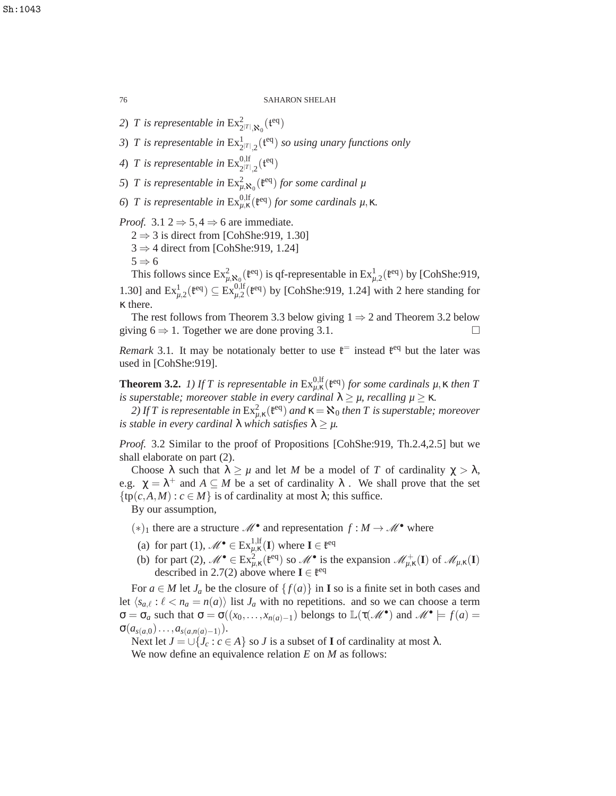2) *T* is representable in  $\operatorname{Ex}_{2^{|T|}, \mathfrak{X}_0}^2(\mathfrak{t}^{\text{eq}})$ 

- 3) *T* is representable in  $\text{Ex}_{2^{|T|},2}^{1}(\mathfrak{t}^{\text{eq}})$  so using unary functions only
- 4) *T* is representable in  $\text{Ex}_{2^{|T|},2}^{0,\text{lf}}(\mathfrak{t}^{\text{eq}})$
- 5) *T* is representable in  $Ex_{\mu,\mathbf{x}_0}^2(\mathfrak{k}^{\text{eq}})$  *for some cardinal*  $\mu$
- *6*) *T* is representable in  $Ex_{μ,κ}^{0,lf}(t^{eq})$  *for some cardinals*  $μ, κ.$

*Proof.* 3.1 2  $\Rightarrow$  5, 4  $\Rightarrow$  6 are immediate.

- $2 \Rightarrow 3$  is direct from [CohShe:919, 1.30]
- $3 \Rightarrow 4$  direct from [CohShe:919, 1.24]

 $5 \Rightarrow 6$ 

This follows since  $Ex_{\mu,\mathbf{x}_0}^2(\mathfrak{k}^{eq})$  is qf-representable in  $Ex_{\mu,2}^1(\mathfrak{k}^{eq})$  by [CohShe:919, 1.30] and  $\text{Ex}_{\mu,2}^{1}(\mathfrak{k}^{eq}) \subseteq \text{Ex}_{\mu,2}^{0,\text{lf}}(\mathfrak{k}^{eq})$  by [CohShe:919, 1.24] with 2 here standing for κ there.

The rest follows from Theorem 3.3 below giving  $1 \Rightarrow 2$  and Theorem 3.2 below giving  $6 \Rightarrow 1$ . Together we are done proving 3.1.

*Remark* 3.1. It may be notationaly better to use  $\mathfrak{k}^{\text{=}}$  instead  $\mathfrak{k}^{\text{eq}}$  but the later was used in [CohShe:919].

**Theorem 3.2.** *1)* If T is representable in  $Ex_{\mu,\kappa}^{0,\text{lf}}(\mathfrak{k}^{\text{eq}})$  for some cardinals  $\mu, \kappa$  then T *is superstable; moreover stable in every cardinal*  $\lambda \geq \mu$ *, recalling*  $\mu \geq \kappa$ *.* 

2) If T is representable in  $Ex_{\mu,\kappa}^2({\mathfrak k}^{\rm eq})$  and  $\kappa$  =  $\aleph_0$  then T is superstable; moreover *is stable in every cardinal*  $\lambda$  *which satisfies*  $\lambda \geq \mu$ .

*Proof.* 3.2 Similar to the proof of Propositions [CohShe:919, Th.2.4,2.5] but we shall elaborate on part (2).

Choose  $\lambda$  such that  $\lambda \geq \mu$  and let *M* be a model of *T* of cardinality  $\gamma > \lambda$ , e.g.  $\chi = \lambda^+$  and  $A \subseteq M$  be a set of cardinality  $\lambda$ . We shall prove that the set  $\{tp(c, A, M) : c \in M\}$  is of cardinality at most  $\lambda$ ; this suffice.

By our assumption,

- $(*)_1$  there are a structure  $\mathcal{M}^{\bullet}$  and representation *f* : *M* →  $\mathcal{M}^{\bullet}$  where
- (a) for part (1),  $\mathcal{M}^{\bullet} \in \text{Ex}_{\mu,\kappa}^{1,\text{lf}}(\mathbf{I})$  where  $\mathbf{I} \in \mathfrak{k}^{\text{eq}}$
- (b) for part (2),  $\mathcal{M}^{\bullet} \in \text{Ex}_{\mu,\kappa}^2(\mathfrak{k}^{eq})$  so  $\mathcal{M}^{\bullet}$  is the expansion  $\mathcal{M}_{\mu,\kappa}^+(\mathbf{I})$  of  $\mathcal{M}_{\mu,\kappa}(\mathbf{I})$ described in 2.7(2) above where  $I \in \mathfrak{k}^{eq}$

For  $a \in M$  let  $J_a$  be the closure of  $\{f(a)\}\$ in **I** so is a finite set in both cases and let  $\langle s_{a,\ell} : \ell < n_a = n(a) \rangle$  list  $J_a$  with no repetitions. and so we can choose a term  $\sigma = \sigma_a$  such that  $\sigma = \sigma((x_0, \ldots, x_{n(a)-1})$  belongs to  $\mathbb{L}(\tau(\mathcal{M}^{\bullet}))$  and  $\mathcal{M}^{\bullet} \models f(a) =$  $\sigma(a_{s(a,0)}\ldots,a_{s(a,n(a)-1)}).$ 

Next let  $J = \bigcup \{J_c : c \in A\}$  so *J* is a subset of **I** of cardinality at most  $\lambda$ .

We now define an equivalence relation *E* on *M* as follows: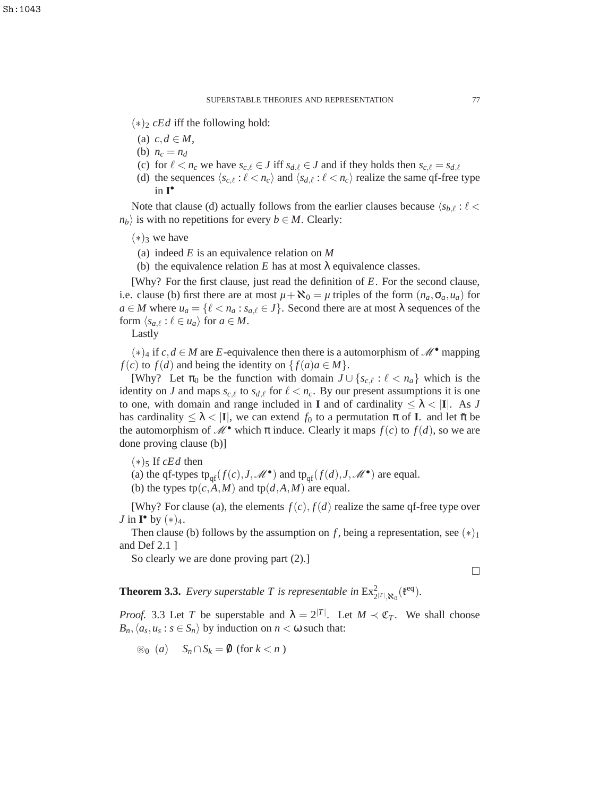- (∗)<sup>2</sup> *cEd* iff the following hold:
- (a)  $c, d \in M$ ,
- (b)  $n_c = n_d$
- (c) for  $\ell < n_c$  we have  $s_{c,\ell} \in J$  iff  $s_{d,\ell} \in J$  and if they holds then  $s_{c,\ell} = s_{d,\ell}$
- (d) the sequences  $\langle s_{c,\ell} : \ell < n_c \rangle$  and  $\langle s_{d,\ell} : \ell < n_c \rangle$  realize the same qf-free type in **I** •

Note that clause (d) actually follows from the earlier clauses because  $\langle s_{b,\ell} : \ell \langle \rangle$  $n_b$  is with no repetitions for every *b*  $\in$  *M*. Clearly:

- $(*)_3$  we have
- (a) indeed *E* is an equivalence relation on *M*
- (b) the equivalence relation *E* has at most  $\lambda$  equivalence classes.

[Why? For the first clause, just read the definition of *E*. For the second clause, i.e. clause (b) first there are at most  $\mu + \aleph_0 = \mu$  triples of the form  $(n_a, \sigma_a, u_a)$  for  $a \in M$  where  $u_a = \{ \ell < n_a : s_{a,\ell} \in J \}$ . Second there are at most  $\lambda$  sequences of the form  $\langle s_{a,\ell} : \ell \in u_a \rangle$  for  $a \in M$ .

Lastly

 $(*)_4$  if *c*, *d* ∈ *M* are *E*-equivalence then there is a automorphism of M<sup>•</sup> mapping *f*(*c*) to *f*(*d*) and being the identity on  $\{f(a)a \in M\}$ .

[Why? Let  $\pi_0$  be the function with domain  $J \cup \{s_{c,\ell} : \ell < n_a\}$  which is the identity on *J* and maps  $s_{c,\ell}$  to  $s_{d,\ell}$  for  $\ell < n_c$ . By our present assumptions it is one to one, with domain and range included in **I** and of cardinality  $\leq \lambda < |I|$ . As *J* has cardinality  $\leq \lambda < |I|$ , we can extend  $f_0$  to a permutation  $\pi$  of **I**. and let  $\check{\pi}$  be the automorphism of  $\mathcal{M}^{\bullet}$  which  $\pi$  induce. Clearly it maps  $f(c)$  to  $f(d)$ , so we are done proving clause (b)]

- $(*)$ <sub>5</sub> If *cEd* then
- (a) the qf-types  $tp_{qf}(f(c), J, \mathcal{M}^{\bullet})$  and  $tp_{qf}(f(d), J, \mathcal{M}^{\bullet})$  are equal.

(b) the types  $tp(c, A, M)$  and  $tp(d, A, M)$  are equal.

[Why? For clause (a), the elements  $f(c)$ ,  $f(d)$  realize the same qf-free type over *J* in  $\mathbf{I}^{\bullet}$  by  $(*)_4$ .

Then clause (b) follows by the assumption on *f*, being a representation, see  $(*)_1$ and Def 2.1 ]

So clearly we are done proving part (2).]

 $\Box$ 

**Theorem 3.3.** *Every superstable T is representable in*  $\operatorname{Ex}_{2}^2$  $\mathcal{F}|_{\mathcal{R}_0}$ ( $\mathfrak{k}^{\text{eq}}$ ).

*Proof.* 3.3 Let *T* be superstable and  $\lambda = 2^{|T|}$ . Let  $M \prec \mathfrak{C}_T$ . We shall choose  $B_n, \langle a_s, u_s : s \in S_n \rangle$  by induction on  $n < \omega$  such that:

⊛<sub>0</sub> (*a*)  $S_n \cap S_k = \emptyset$  (for *k* < *n*)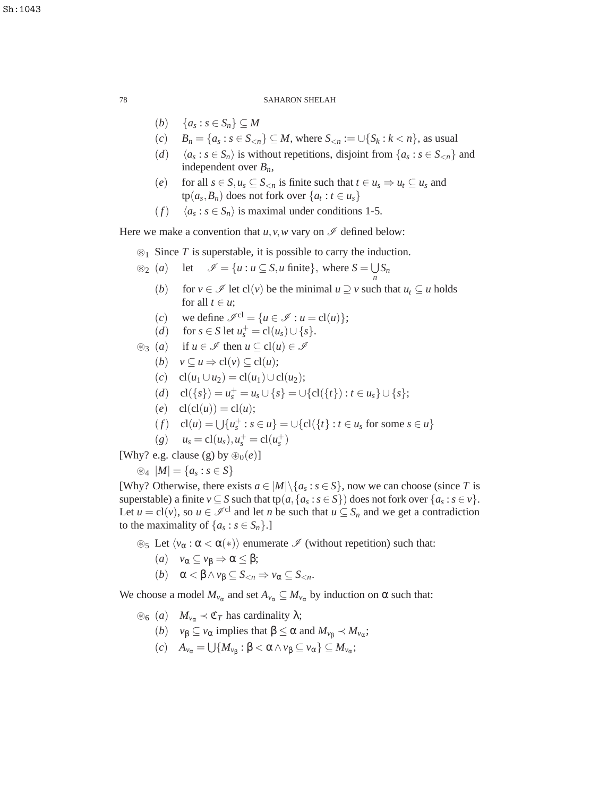- $(b) \quad \{a_s : s \in S_n\} \subseteq M$
- (*c*)  $B_n = \{a_s : s \in S_{< n}\} ⊆ M$ , where  $S_{< n} := \bigcup \{S_k : k < n\}$ , as usual
- $(d)$   $\langle a_s : s \in S_n \rangle$  is without repetitions, disjoint from  $\{a_s : s \in S_{\le n}\}\$  and independent over *Bn*,
- (*e*) for all  $s \in S, u_s \subseteq S_{\le n}$  is finite such that  $t \in u_s \Rightarrow u_t \subseteq u_s$  and  $\text{tp}(a_s, B_n)$  does not fork over  $\{a_t : t \in u_s\}$
- (*f*)  $\langle a_s : s \in S_n \rangle$  is maximal under conditions 1-5.

Here we make a convention that  $u, v, w$  vary on  $\mathscr I$  defined below:

⊛<sup>1</sup> Since *T* is superstable, it is possible to carry the induction.

$$
\circledast_2 (a) \quad \text{let} \quad \mathscr{I} = \{u : u \subseteq S, u \text{ finite}\}, \text{ where } S = \bigcup_n S_n
$$

- (*b*) for  $v \in \mathcal{I}$  let cl(*v*) be the minimal  $u \supseteq v$  such that  $u_t \subseteq u$  holds for all  $t \in u$ ;
- (*c*) we define  $\mathscr{I}^{cl} = \{u \in \mathscr{I} : u = \text{cl}(u)\};$
- (*d*) for *s*  $\in$  *S* let  $u_s^+ = cl(u_s) \cup \{s\}.$

$$
\circledast_3 (a) \quad \text{if } u \in \mathscr{I} \text{ then } u \subseteq \text{cl}(u) \in \mathscr{I}
$$

- (*b*)  $v \subseteq u \Rightarrow cl(v) \subseteq cl(u);$
- (*c*) cl(*u*<sub>1</sub> ∪*u*<sub>2</sub>) = cl(*u*<sub>1</sub>)∪cl(*u*<sub>2</sub>);
- $(d)$  cl({*s*}) =  $u_s^+$  =  $u_s \cup \{s\}$  =  $\cup$ {cl({*t*}) : *t* ∈  $u_s$ }  $\cup$  {*s*};
- $(e)$  cl(cl(u)) = cl(u);
- $(f)$  cl(*u*) =  $\bigcup \{u_s^+ : s \in u\}$  =  $\bigcup \{cl(\{t\} : t \in u_s \text{ for some } s \in u\}$

$$
(g) \t u_s = cl(u_s), u_s^+ = cl(u_s^+)
$$

[Why? e.g. clause (g) by  $\mathcal{D}_0(e)$ ]

⊛<sub>4</sub>  $|M| = {a_s : s ∈ S}$ 

[Why? Otherwise, there exists  $a \in |M| \setminus \{a_s : s \in S\}$ , now we can choose (since *T* is superstable) a finite  $v \subseteq S$  such that tp $(a, \{a_s : s \in S\})$  does not fork over  $\{a_s : s \in v\}$ . Let  $u = cl(v)$ , so  $u \in \mathcal{I}^{cl}$  and let *n* be such that  $u \subseteq S_n$  and we get a contradiction to the maximality of  $\{a_s : s \in S_n\}$ .]

 $\mathcal{L}_5$  Let  $\langle v_\alpha : \alpha < \alpha(*) \rangle$  enumerate  $\mathcal I$  (without repetition) such that:

- (*a*)  $v_{\alpha} \subseteq v_{\beta} \Rightarrow \alpha \leq \beta;$
- (*b*)  $\alpha < \beta \land \nu_{\beta} \subseteq S_{\leq n} \Rightarrow \nu_{\alpha} \subseteq S_{\leq n}$ .

We choose a model  $M_{\nu_{\alpha}}$  and set  $A_{\nu_{\alpha}} \subseteq M_{\nu_{\alpha}}$  by induction on  $\alpha$  such that:

- <sup>⊗</sup>6 (*a*) *M*<sub>*v*α</sub> ≺ **C**<sub>*T*</sub> has cardinality  $λ$ ;
	- $(v)$  *v*<sub> $\beta \subseteq v_{\alpha}$  implies that  $\beta \le \alpha$  and  $M_{v_{\beta}} \prec M_{v_{\alpha}}$ ;</sub>
	- $(c)$  *A*<sub>*v*α</sub> =  $\bigcup \{M_{v_\beta} : \beta < \alpha \wedge v_\beta \subseteq v_\alpha \} \subseteq M_{v_\alpha};$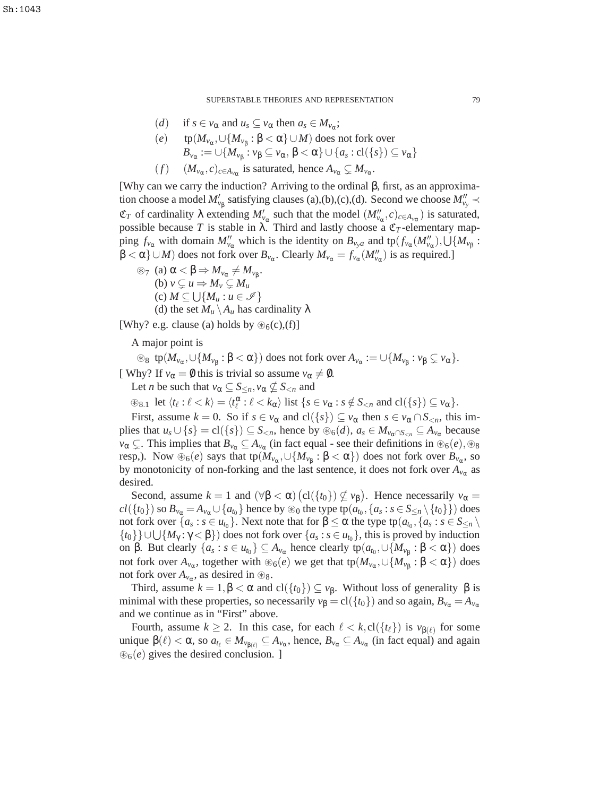SUPERSTABLE THEORIES AND REPRESENTATION 79

- (*d*) if  $s \in v_\alpha$  and  $u_s \subseteq v_\alpha$  then  $a_s \in M_{v_\alpha};$
- (*e*) tp( $M_{ν_α}$ ,∪{ $M_{ν_β}$  : β < α}∪*M*) does not fork over  $B_{\nu_{\alpha}} := \cup \{ M_{\nu_{\beta}} : \nu_{\beta} \subseteq \nu_{\alpha}, \beta < \alpha \} \cup \{ a_s : \text{cl}(\{s\}) \subseteq \nu_{\alpha} \}$
- (*f*)  $(M_{\nu_{\alpha}}, c)_{c \in A_{\nu_{\alpha}}}$  is saturated, hence  $A_{\nu_{\alpha}} \subsetneq M_{\nu_{\alpha}}$ .

[Why can we carry the induction? Arriving to the ordinal β, first, as an approximation choose a model  $M'_{\nu_{\beta}}$  satisfying clauses (a),(b),(c),(d). Second we choose  $M''_{\nu_{\nu}} \prec$  $\mathfrak{C}_T$  of cardinality  $\lambda$  extending  $M'_{\nu_\alpha}$  such that the model  $(M''_{\nu_\alpha}, c)_{c \in A_{\nu_\alpha}}$ ) is saturated, possible because *T* is stable in  $\lambda$ . Third and lastly choose a  $\mathfrak{C}_T$ -elementary mapping  $f_{v_\alpha}$  with domain  $M''_{v_\alpha}$  which is the identity on  $B_{v_ya}$  and  $tp(f_{v_\alpha}(M''_{v_\alpha}), \bigcup \{M_{v_\beta}\}:$  $\beta < \alpha$   $\} \cup M$  does not fork over  $B_{\nu_{\alpha}}$ . Clearly  $M_{\nu_{\alpha}} = f_{\nu_{\alpha}}(M''_{\nu_{\alpha}})$  is as required.]

 $\circledast$ <sub>7</sub> (a)  $\alpha < \beta \Rightarrow M_{\nu_{\alpha}} \neq M_{\nu_{\beta}}$ . (b)  $v \subset u \Rightarrow M_v \subset M_u$  $(c) M \subseteq \bigcup \{M_u : u \in \mathscr{I}\}\$ (d) the set  $M_u \backslash A_u$  has cardinality  $\lambda$ 

[Why? e.g. clause (a) holds by  $\mathcal{B}_6(c)$ , (f)]

A major point is

 $\textcircled{*}$  s  $tp(M_{\nu_\alpha}, \cup \{M_{\nu_\beta} : \beta < \alpha\})$  does not fork over  $A_{\nu_\alpha} := \cup \{M_{\nu_\beta} : \nu_\beta \subsetneq \nu_\alpha\}.$ [ Why? If  $v_\alpha = \emptyset$  this is trivial so assume  $v_\alpha \neq \emptyset$ .

Let *n* be such that  $v_{\alpha} \subseteq S_{\leq n}, v_{\alpha} \nsubseteq S_{\leq n}$  and

 $\circledast_{8.1}$  let  $\langle t_\ell : \ell < k \rangle = \langle t_\ell^\alpha : \ell < k_\alpha \rangle$  list  $\{ s \in v_\alpha : s \notin S_{\le n} \text{ and } cl(\{ s \}) \subseteq v_\alpha \}.$ 

First, assume  $k = 0$ . So if  $s \in v_\alpha$  and  $cl({s}) \subseteq v_\alpha$  then  $s \in v_\alpha \cap S_{\leq n}$ , this implies that  $u_s \cup \{s\} = \text{cl}(\{s\}) \subseteq S_{\leq n}$ , hence by  $\circledast_6(d)$ ,  $a_s \in M_{\nu_\alpha \cap S_{\leq n}} \subseteq A_{\nu_\alpha}$  because  $v_{\alpha} \subsetneq$ . This implies that  $B_{v_{\alpha}} \subseteq A_{v_{\alpha}}$  (in fact equal - see their definitions in ⊛<sub>6</sub>(*e*), ⊛<sub>8</sub> resp,). Now  $\circledast_6(e)$  says that tp( $M_{\nu_\alpha}, \cup\{M_{\nu_\beta}:\beta<\alpha\})$  does not fork over  $B_{\nu_\alpha},$  so by monotonicity of non-forking and the last sentence, it does not fork over  $A_{v_\alpha}$  as desired.

Second, assume  $k = 1$  and  $(\forall \beta < \alpha)$   $\left(\text{cl}(\lbrace t_0 \rbrace) \nsubseteq \nu_\beta\right)$ . Hence necessarily  $\nu_\alpha =$  $cl(\{t_0\})$  so  $B_{\nu_\alpha}$   $=$   $A_{\nu_\alpha}$   $\cup$   $\{a_{t_0}\}$  hence by ⊛<sub>0</sub> the type tp $(a_{t_0},\{a_s:s\in S_{\le n}\setminus\{t_0\}\})$  does not fork over  $\{a_s : s \in u_{t_0}\}$ . Next note that for  $\beta \le \alpha$  the type tp $(a_{t_0}, \{a_s : s \in S_{\le n} \setminus t_0\})$  ${t_0}$   $\}$  ∪ ∪ {*M*<sub>γ</sub> : γ < β}) does not fork over {*a<sub>s</sub>* : *s* ∈ *u*<sub>*t*0</sub>}, this is proved by induction on β. But clearly  $\{a_s : s \in u_{t_0}\} ⊆ A_{v_\alpha}$  hence clearly  $tp(a_{t_0}, \cup \{M_{v_\beta} : \beta < \alpha\})$  does not fork over  $A_{\nu_\alpha}$ , together with ⊛<sub>6</sub> $(e)$  we get that tp( $M_{\nu_\alpha}$ , $\cup$ { $M_{\nu_\beta}$ :  $\beta < \alpha$ }) does not fork over  $A_{\nu_\alpha}$ , as desired in  $\circledast_8$ .

Third, assume  $k = 1, \beta < \alpha$  and  $cl({t_0}) \subseteq v_\beta$ . Without loss of generality  $\beta$  is minimal with these properties, so necessarily  $v_{\beta} = cl({t_0})$  and so again,  $B_{v_{\alpha}} = A_{v_{\alpha}}$ and we continue as in "First" above.

Fourth, assume  $k \ge 2$ . In this case, for each  $\ell < k$ ,  $cl({t_{\ell}})$  is  $v_{\beta(\ell)}$  for some unique β( $\ell$ ) < α, so  $a_{t_\ell}$  ∈  $M_{\nu_{\beta(\ell)}}$  ⊆  $A_{\nu_\alpha}$ , hence,  $B_{\nu_\alpha}$  ⊆  $A_{\nu_\alpha}$  (in fact equal) and again ⊛6(*e*) gives the desired conclusion. ]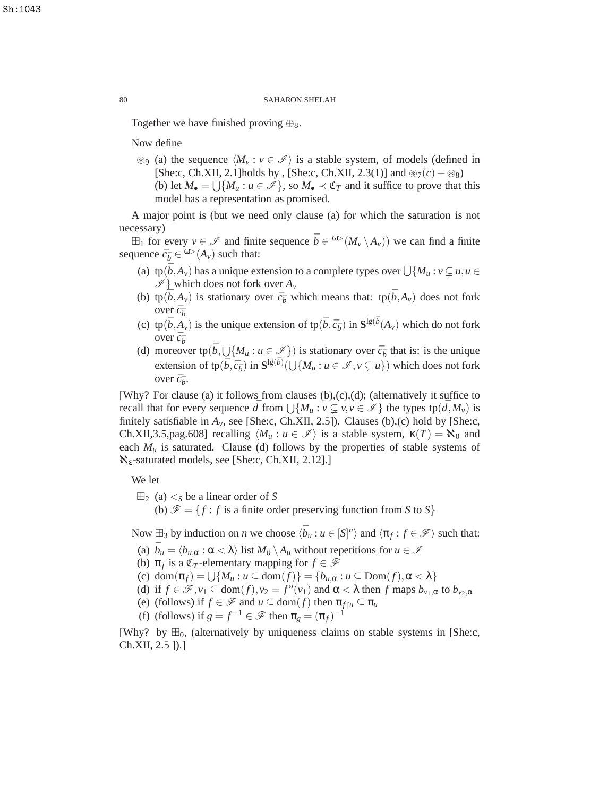Together we have finished proving  $\bigoplus$ <sub>8</sub>.

Now define

⊛9 (a) the sequence  $\langle M_v : v \in \mathcal{I} \rangle$  is a stable system, of models (defined in [She:c, Ch.XII, 2.1]holds by , [She:c, Ch.XII, 2.3(1)] and  $\mathcal{D}_7(c) + \mathcal{D}_8$ (b) let  $M_{\bullet} = \bigcup \{ M_u : u \in \mathcal{I} \}$ , so  $M_{\bullet} \prec \mathfrak{C}_T$  and it suffice to prove that this model has a representation as promised.

A major point is (but we need only clause (a) for which the saturation is not necessary)

⊞<sub>1</sub> for every *v* ∈  $\mathcal{I}$  and finite sequence  $\bar{b} \in \frac{ω>(M_v \setminus A_v))}{}$  we can find a finite sequence  $\bar{c}_{\bar{b}} \in {}^{\omega>}(A_v)$  such that:

- (a)  $\text{tp}(\bar{b}, A_v)$  has a unique extension to a complete types over  $\bigcup \{M_u : v \subsetneq u, u \in X_v\}$  $\mathscr{I}$  which does not fork over  $A_v$
- (b) tp( $\bar{b}$ , $A$ <sup>*v*</sup>) is stationary over  $\bar{c}_{\bar{b}}$  which means that: tp( $\bar{b}$ , $A$ <sup>*v*</sup>) does not fork over  $\bar{c}_{\bar{b}}$
- (c) tp $(\bar{b}, A_v)$  is the unique extension of tp $(\bar{b}, \bar{c}_{\bar{b}})$  in  $\mathbf{S}^{\lg(\bar{b}}(A_v))$  which do not fork over  $\bar{c}_{\bar{b}}$
- (d) moreover  $\text{tp}(\bar{b}, \bigcup \{M_u : u \in \mathcal{I}\})$  is stationary over  $\bar{c}_{\bar{b}}$  that is: is the unique extension of tp $(\bar{b}, \bar{c}_{\bar{b}})$  in  $\mathbf{S}^{\lg(\bar{b})}(\bigcup \{M_u : u \in \mathscr{I}, v \subsetneq u\})$  which does not fork over  $\bar{c}_{\bar{b}}$ .

[Why? For clause (a) it follows from clauses  $(b),(c),(d)$ ; (alternatively it suffice to recall that for every sequence  $\bar{d}$  from  $\bigcup \{M_u : v \subsetneq v, v \in \mathscr{I}\}\$  the types  $tp(\bar{d}, M_v)$  is finitely satisfiable in  $A_v$ , see [She:c, Ch.XII, 2.5]). Clauses (b),(c) hold by [She:c, Ch.XII,3.5,pag.608] recalling  $\langle M_u : u \in \mathcal{I} \rangle$  is a stable system,  $\kappa(T) = \aleph_0$  and each  $M_u$  is saturated. Clause (d) follows by the properties of stable systems of  $\aleph_{\varepsilon}$ -saturated models, see [She:c, Ch.XII, 2.12].]

We let

 $\boxplus_2$  (a)  $\lt_S$  be a linear order of *S* (b)  $\mathscr{F} = \{f : f$  is a finite order preserving function from *S* to *S*}

Now  $\boxplus_3$  by induction on *n* we choose  $\langle \bar{b}_u : u \in [S]^n \rangle$  and  $\langle \pi_f : f \in \mathcal{F} \rangle$  such that:

- (a)  $\bar{b}_u = \langle b_{u,\alpha} : \alpha < \lambda \rangle$  list  $M_v \setminus A_u$  without repetitions for  $u \in \mathcal{I}$
- (b)  $\pi_f$  is a  $\mathfrak{C}_T$ -elementary mapping for  $f \in \mathcal{F}$
- (c) dom $(\pi_f) = \bigcup \{ M_u : u \subseteq \text{dom}(f) \} = \{ b_{u,\alpha} : u \subseteq \text{Dom}(f), \alpha < \lambda \}$
- (d) if  $f \in \mathscr{F}$ ,  $v_1 \subseteq \text{dom}(f)$ ,  $v_2 = f''(v_1)$  and  $\alpha < \lambda$  then *f* maps  $b_{v_1,\alpha}$  to  $b_{v_2,\alpha}$
- (e) (follows) if  $f \in \mathcal{F}$  and  $u \subseteq \text{dom}(f)$  then  $\pi_{f|u} \subseteq \pi_u$
- (f) (follows) if  $g = f^{-1} \in \mathcal{F}$  then  $\pi_g = (\pi_f)^{-1}$

[Why? by  $\boxplus_0$ , (alternatively by uniqueness claims on stable systems in [She:c, Ch.XII, 2.5 ]).]

Sh:1043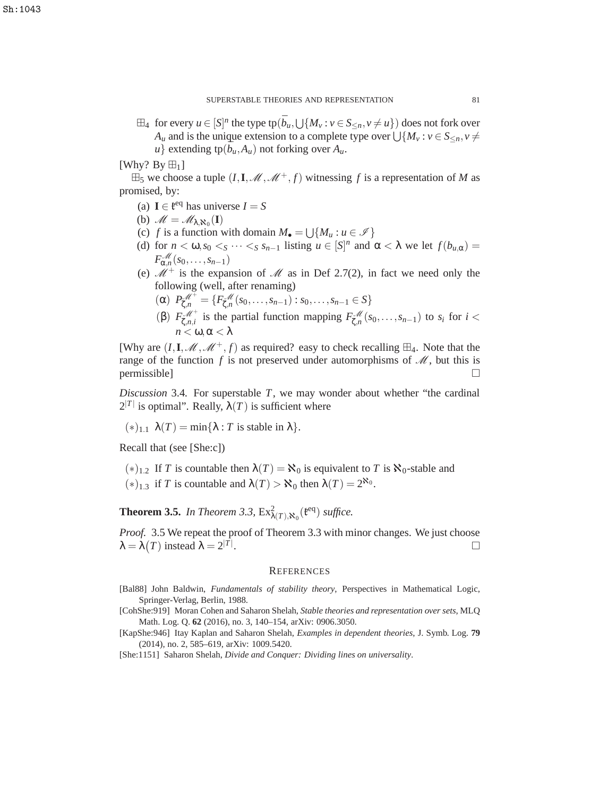$\boxplus_4$  for every  $u \in [S]^n$  the type tp $(\bar{b}_u, \bigcup \{M_v : v \in S_{\le n}, v \ne u\})$  does not fork over  $A_u$  and is the unique extension to a complete type over  $\bigcup \{M_v : v \in S_{\le n}, v \ne 0\}$  $u$ } extending tp( $\bar{b}_u$ , $A_u$ ) not forking over  $A_u$ .

[Why? By  $\boxplus_1$ ]

 $\boxplus_5$  we choose a tuple  $(I, I, \mathcal{M}, \mathcal{M}^+, f)$  witnessing f is a representation of M as promised, by:

- (a) **I**  $\in \mathfrak{k}^{\text{eq}}$  has universe  $I = S$
- (b)  $\mathscr{M} = \mathscr{M}_{\lambda, \aleph_0}(\mathbf{I})$
- (c) *f* is a function with domain  $M_{\bullet} = \bigcup \{M_u : u \in \mathcal{I}\}\$
- (d) for  $n < \omega, s_0 < s \cdots < s s_{n-1}$  listing  $u \in [S]^n$  and  $\alpha < \lambda$  we let  $f(b_{u,\alpha}) =$  $F_{\alpha,n}^{\mathcal{M}}(s_0,\ldots,s_{n-1})$
- (e)  $\mathcal{M}^+$  is the expansion of  $\mathcal M$  as in Def 2.7(2), in fact we need only the following (well, after renaming)
	- $(P_{\zeta,n}^{\mathscr{M}^+} = \{F_{\zeta,n}^{\mathscr{M}}(s_0,\ldots,s_{n-1}): s_0,\ldots,s_{n-1} \in S\}$
	- (β)  $F_{\zeta,n,i}^{\mathscr{M}^+}$  is the partial function mapping  $F_{\zeta,n}^{\mathscr{M}}(s_0,\ldots,s_{n-1})$  to  $s_i$  for  $i <$  $n < \omega, \alpha < \lambda$

[Why are  $(I, I, \mathcal{M}, \mathcal{M}^+, f)$  as required? easy to check recalling  $\boxplus_4$ . Note that the range of the function  $f$  is not preserved under automorphisms of  $\mathcal{M}$ , but this is permissible]

*Discussion* 3.4*.* For superstable *T*, we may wonder about whether "the cardinal  $2^{|T|}$  is optimal". Really,  $\lambda(T)$  is sufficient where

 $(*)_{1,1} \lambda(T) = \min\{\lambda : T \text{ is stable in } \lambda\}.$ 

Recall that (see [She:c])

(\*)<sub>1.2</sub> If *T* is countable then  $\lambda(T) = \mathbf{X}_0$  is equivalent to *T* is  $\mathbf{X}_0$ -stable and (\*)<sub>1.3</sub> if *T* is countable and  $\lambda(T) > \aleph_0$  then  $\lambda(T) = 2^{\aleph_0}$ .

**Theorem 3.5.** In Theorem 3.3,  $Ex^2_{\lambda(T),\mathbf{R}_0}(\mathfrak{k}^{\text{eq}})$  suffice.

*Proof.* 3.5 We repeat the proof of Theorem 3.3 with minor changes. We just choose  $\lambda = \lambda(T)$  instead  $\lambda = 2^{|T|}$ .

## **REFERENCES**

- [Bal88] John Baldwin, *Fundamentals of stability theory*, Perspectives in Mathematical Logic, Springer-Verlag, Berlin, 1988.
- [CohShe:919] Moran Cohen and Saharon Shelah, *Stable theories and representation over sets*, MLQ Math. Log. Q. **62** (2016), no. 3, 140–154, arXiv: 0906.3050.
- [KapShe:946] Itay Kaplan and Saharon Shelah, *Examples in dependent theories*, J. Symb. Log. **79** (2014), no. 2, 585–619, arXiv: 1009.5420.

[She:1151] Saharon Shelah, *Divide and Conquer: Dividing lines on universality*.